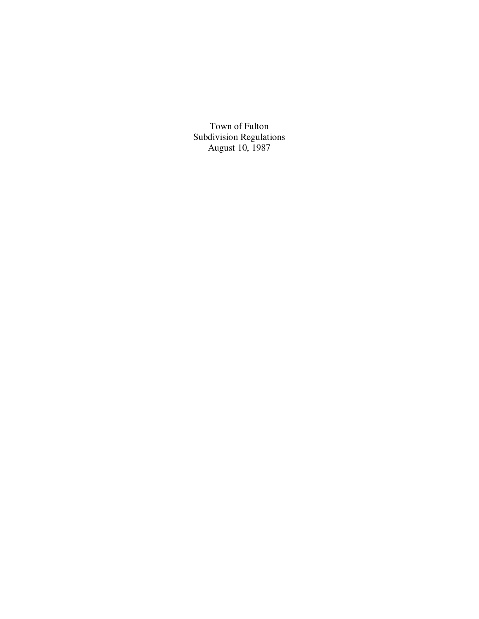Town of Fulton Subdivision Regulations August 10, 1987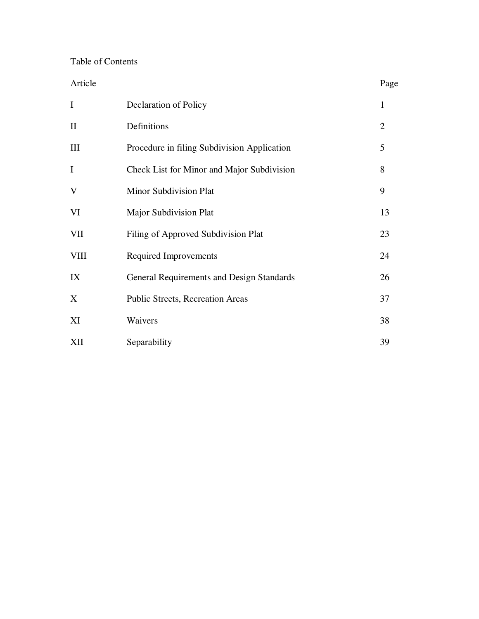# Table of Contents

| Article      |                                             | Page           |
|--------------|---------------------------------------------|----------------|
| $\mathbf I$  | Declaration of Policy                       | $\mathbf{1}$   |
| $\mathbf{I}$ | Definitions                                 | $\overline{2}$ |
| III          | Procedure in filing Subdivision Application | 5              |
| $\mathbf I$  | Check List for Minor and Major Subdivision  | 8              |
| V            | <b>Minor Subdivision Plat</b>               | 9              |
| VI           | <b>Major Subdivision Plat</b>               | 13             |
| <b>VII</b>   | Filing of Approved Subdivision Plat         | 23             |
| <b>VIII</b>  | <b>Required Improvements</b>                | 24             |
| IX           | General Requirements and Design Standards   | 26             |
| X            | <b>Public Streets, Recreation Areas</b>     | 37             |
| XI           | Waivers                                     | 38             |
| XII          | Separability                                | 39             |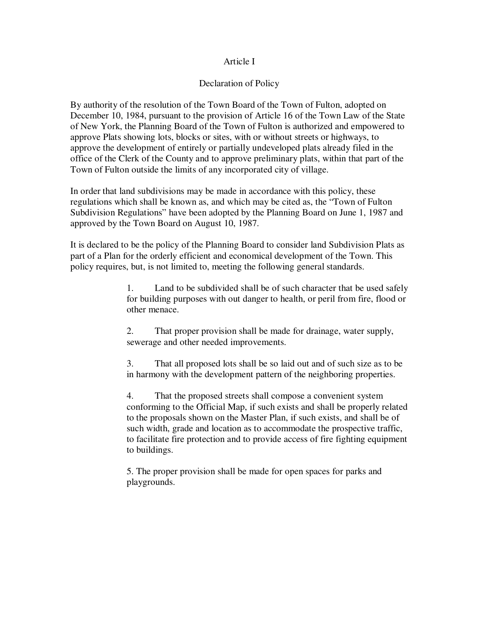### Article I

### Declaration of Policy

By authority of the resolution of the Town Board of the Town of Fulton, adopted on December 10, 1984, pursuant to the provision of Article 16 of the Town Law of the State of New York, the Planning Board of the Town of Fulton is authorized and empowered to approve Plats showing lots, blocks or sites, with or without streets or highways, to approve the development of entirely or partially undeveloped plats already filed in the office of the Clerk of the County and to approve preliminary plats, within that part of the Town of Fulton outside the limits of any incorporated city of village.

In order that land subdivisions may be made in accordance with this policy, these regulations which shall be known as, and which may be cited as, the "Town of Fulton Subdivision Regulations" have been adopted by the Planning Board on June 1, 1987 and approved by the Town Board on August 10, 1987.

It is declared to be the policy of the Planning Board to consider land Subdivision Plats as part of a Plan for the orderly efficient and economical development of the Town. This policy requires, but, is not limited to, meeting the following general standards.

> 1. Land to be subdivided shall be of such character that be used safely for building purposes with out danger to health, or peril from fire, flood or other menace.

2. That proper provision shall be made for drainage, water supply, sewerage and other needed improvements.

3. That all proposed lots shall be so laid out and of such size as to be in harmony with the development pattern of the neighboring properties.

4. That the proposed streets shall compose a convenient system conforming to the Official Map, if such exists and shall be properly related to the proposals shown on the Master Plan, if such exists, and shall be of such width, grade and location as to accommodate the prospective traffic, to facilitate fire protection and to provide access of fire fighting equipment to buildings.

5. The proper provision shall be made for open spaces for parks and playgrounds.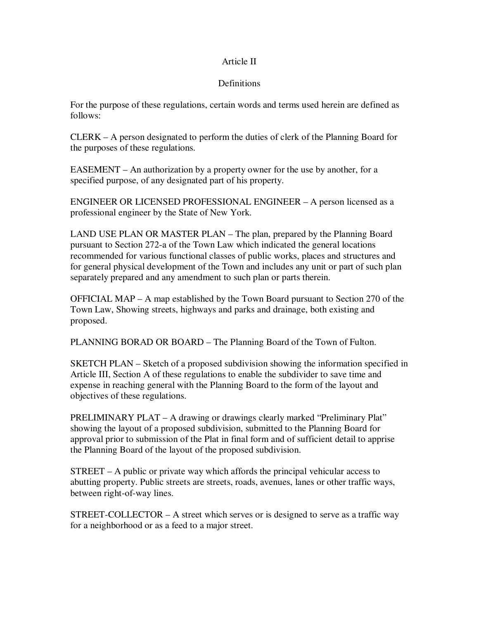## Article II

## Definitions

For the purpose of these regulations, certain words and terms used herein are defined as follows:

CLERK – A person designated to perform the duties of clerk of the Planning Board for the purposes of these regulations.

EASEMENT – An authorization by a property owner for the use by another, for a specified purpose, of any designated part of his property.

ENGINEER OR LICENSED PROFESSIONAL ENGINEER – A person licensed as a professional engineer by the State of New York.

LAND USE PLAN OR MASTER PLAN – The plan, prepared by the Planning Board pursuant to Section 272-a of the Town Law which indicated the general locations recommended for various functional classes of public works, places and structures and for general physical development of the Town and includes any unit or part of such plan separately prepared and any amendment to such plan or parts therein.

OFFICIAL MAP – A map established by the Town Board pursuant to Section 270 of the Town Law, Showing streets, highways and parks and drainage, both existing and proposed.

PLANNING BORAD OR BOARD – The Planning Board of the Town of Fulton.

SKETCH PLAN – Sketch of a proposed subdivision showing the information specified in Article III, Section A of these regulations to enable the subdivider to save time and expense in reaching general with the Planning Board to the form of the layout and objectives of these regulations.

PRELIMINARY PLAT – A drawing or drawings clearly marked "Preliminary Plat" showing the layout of a proposed subdivision, submitted to the Planning Board for approval prior to submission of the Plat in final form and of sufficient detail to apprise the Planning Board of the layout of the proposed subdivision.

STREET – A public or private way which affords the principal vehicular access to abutting property. Public streets are streets, roads, avenues, lanes or other traffic ways, between right-of-way lines.

STREET-COLLECTOR – A street which serves or is designed to serve as a traffic way for a neighborhood or as a feed to a major street.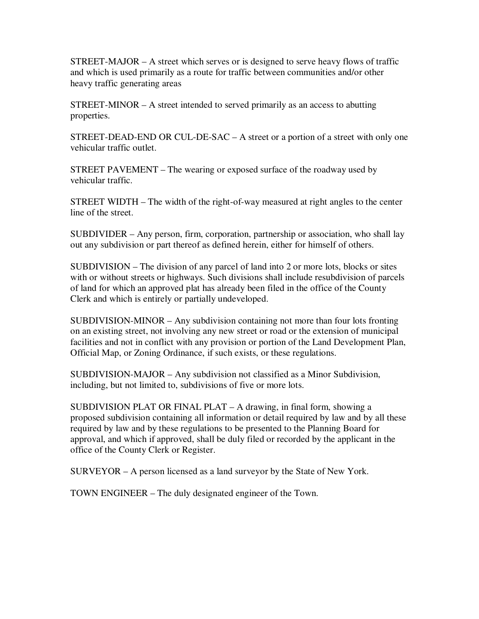STREET-MAJOR – A street which serves or is designed to serve heavy flows of traffic and which is used primarily as a route for traffic between communities and/or other heavy traffic generating areas

STREET-MINOR – A street intended to served primarily as an access to abutting properties.

STREET-DEAD-END OR CUL-DE-SAC – A street or a portion of a street with only one vehicular traffic outlet.

STREET PAVEMENT – The wearing or exposed surface of the roadway used by vehicular traffic.

STREET WIDTH – The width of the right-of-way measured at right angles to the center line of the street.

SUBDIVIDER – Any person, firm, corporation, partnership or association, who shall lay out any subdivision or part thereof as defined herein, either for himself of others.

SUBDIVISION – The division of any parcel of land into 2 or more lots, blocks or sites with or without streets or highways. Such divisions shall include resubdivision of parcels of land for which an approved plat has already been filed in the office of the County Clerk and which is entirely or partially undeveloped.

SUBDIVISION-MINOR – Any subdivision containing not more than four lots fronting on an existing street, not involving any new street or road or the extension of municipal facilities and not in conflict with any provision or portion of the Land Development Plan, Official Map, or Zoning Ordinance, if such exists, or these regulations.

SUBDIVISION-MAJOR – Any subdivision not classified as a Minor Subdivision, including, but not limited to, subdivisions of five or more lots.

SUBDIVISION PLAT OR FINAL PLAT – A drawing, in final form, showing a proposed subdivision containing all information or detail required by law and by all these required by law and by these regulations to be presented to the Planning Board for approval, and which if approved, shall be duly filed or recorded by the applicant in the office of the County Clerk or Register.

SURVEYOR – A person licensed as a land surveyor by the State of New York.

TOWN ENGINEER – The duly designated engineer of the Town.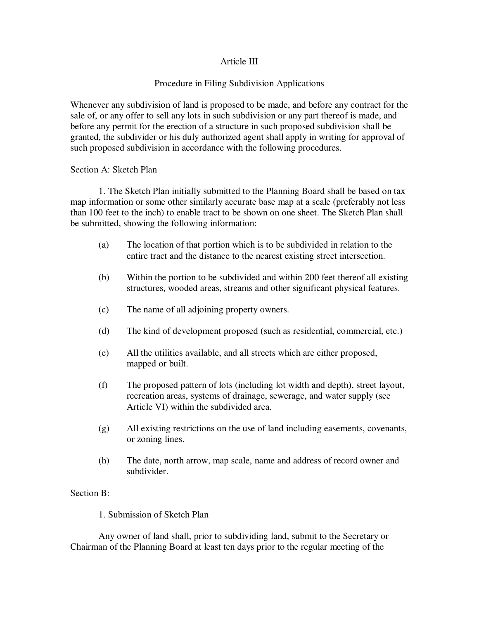## Article III

## Procedure in Filing Subdivision Applications

Whenever any subdivision of land is proposed to be made, and before any contract for the sale of, or any offer to sell any lots in such subdivision or any part thereof is made, and before any permit for the erection of a structure in such proposed subdivision shall be granted, the subdivider or his duly authorized agent shall apply in writing for approval of such proposed subdivision in accordance with the following procedures.

### Section A: Sketch Plan

 1. The Sketch Plan initially submitted to the Planning Board shall be based on tax map information or some other similarly accurate base map at a scale (preferably not less than 100 feet to the inch) to enable tract to be shown on one sheet. The Sketch Plan shall be submitted, showing the following information:

- (a) The location of that portion which is to be subdivided in relation to the entire tract and the distance to the nearest existing street intersection.
- (b) Within the portion to be subdivided and within 200 feet thereof all existing structures, wooded areas, streams and other significant physical features.
- (c) The name of all adjoining property owners.
- (d) The kind of development proposed (such as residential, commercial, etc.)
- (e) All the utilities available, and all streets which are either proposed, mapped or built.
- (f) The proposed pattern of lots (including lot width and depth), street layout, recreation areas, systems of drainage, sewerage, and water supply (see Article VI) within the subdivided area.
- (g) All existing restrictions on the use of land including easements, covenants, or zoning lines.
- (h) The date, north arrow, map scale, name and address of record owner and subdivider.

### Section B:

### 1. Submission of Sketch Plan

 Any owner of land shall, prior to subdividing land, submit to the Secretary or Chairman of the Planning Board at least ten days prior to the regular meeting of the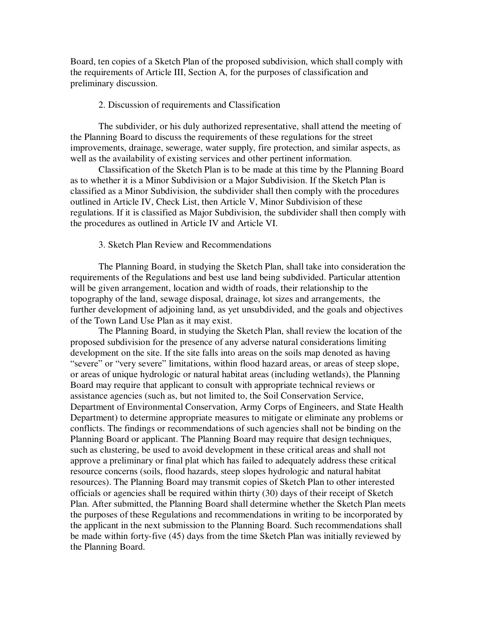Board, ten copies of a Sketch Plan of the proposed subdivision, which shall comply with the requirements of Article III, Section A, for the purposes of classification and preliminary discussion.

#### 2. Discussion of requirements and Classification

 The subdivider, or his duly authorized representative, shall attend the meeting of the Planning Board to discuss the requirements of these regulations for the street improvements, drainage, sewerage, water supply, fire protection, and similar aspects, as well as the availability of existing services and other pertinent information.

 Classification of the Sketch Plan is to be made at this time by the Planning Board as to whether it is a Minor Subdivision or a Major Subdivision. If the Sketch Plan is classified as a Minor Subdivision, the subdivider shall then comply with the procedures outlined in Article IV, Check List, then Article V, Minor Subdivision of these regulations. If it is classified as Major Subdivision, the subdivider shall then comply with the procedures as outlined in Article IV and Article VI.

#### 3. Sketch Plan Review and Recommendations

 The Planning Board, in studying the Sketch Plan, shall take into consideration the requirements of the Regulations and best use land being subdivided. Particular attention will be given arrangement, location and width of roads, their relationship to the topography of the land, sewage disposal, drainage, lot sizes and arrangements, the further development of adjoining land, as yet unsubdivided, and the goals and objectives of the Town Land Use Plan as it may exist.

 The Planning Board, in studying the Sketch Plan, shall review the location of the proposed subdivision for the presence of any adverse natural considerations limiting development on the site. If the site falls into areas on the soils map denoted as having "severe" or "very severe" limitations, within flood hazard areas, or areas of steep slope, or areas of unique hydrologic or natural habitat areas (including wetlands), the Planning Board may require that applicant to consult with appropriate technical reviews or assistance agencies (such as, but not limited to, the Soil Conservation Service, Department of Environmental Conservation, Army Corps of Engineers, and State Health Department) to determine appropriate measures to mitigate or eliminate any problems or conflicts. The findings or recommendations of such agencies shall not be binding on the Planning Board or applicant. The Planning Board may require that design techniques, such as clustering, be used to avoid development in these critical areas and shall not approve a preliminary or final plat which has failed to adequately address these critical resource concerns (soils, flood hazards, steep slopes hydrologic and natural habitat resources). The Planning Board may transmit copies of Sketch Plan to other interested officials or agencies shall be required within thirty (30) days of their receipt of Sketch Plan. After submitted, the Planning Board shall determine whether the Sketch Plan meets the purposes of these Regulations and recommendations in writing to be incorporated by the applicant in the next submission to the Planning Board. Such recommendations shall be made within forty-five (45) days from the time Sketch Plan was initially reviewed by the Planning Board.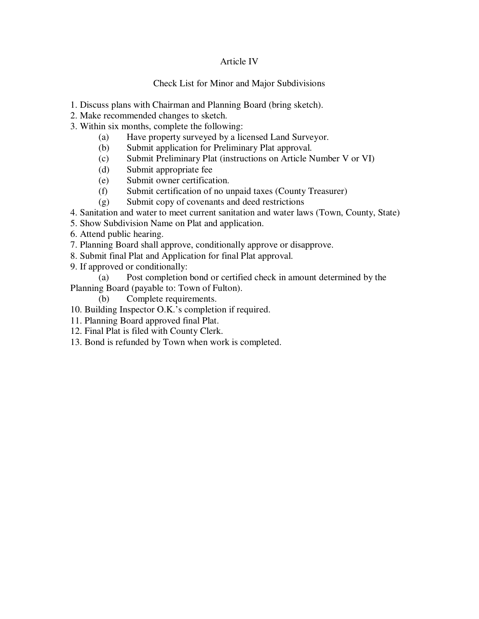## Article IV

## Check List for Minor and Major Subdivisions

- 1. Discuss plans with Chairman and Planning Board (bring sketch).
- 2. Make recommended changes to sketch.
- 3. Within six months, complete the following:
	- (a) Have property surveyed by a licensed Land Surveyor.
	- (b) Submit application for Preliminary Plat approval.
	- (c) Submit Preliminary Plat (instructions on Article Number V or VI)
	- (d) Submit appropriate fee
	- (e) Submit owner certification.
	- (f) Submit certification of no unpaid taxes (County Treasurer)
	- (g) Submit copy of covenants and deed restrictions
- 4. Sanitation and water to meet current sanitation and water laws (Town, County, State)
- 5. Show Subdivision Name on Plat and application.
- 6. Attend public hearing.
- 7. Planning Board shall approve, conditionally approve or disapprove.
- 8. Submit final Plat and Application for final Plat approval.
- 9. If approved or conditionally:

 (a) Post completion bond or certified check in amount determined by the Planning Board (payable to: Town of Fulton).

- (b) Complete requirements.
- 10. Building Inspector O.K.'s completion if required.
- 11. Planning Board approved final Plat.
- 12. Final Plat is filed with County Clerk.
- 13. Bond is refunded by Town when work is completed.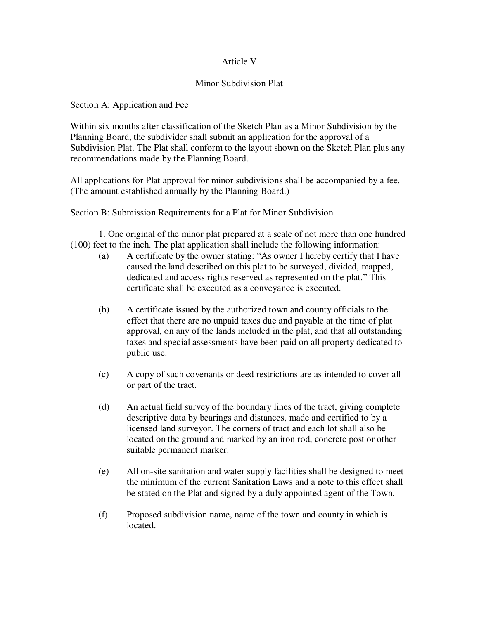## Article V

### Minor Subdivision Plat

Section A: Application and Fee

Within six months after classification of the Sketch Plan as a Minor Subdivision by the Planning Board, the subdivider shall submit an application for the approval of a Subdivision Plat. The Plat shall conform to the layout shown on the Sketch Plan plus any recommendations made by the Planning Board.

All applications for Plat approval for minor subdivisions shall be accompanied by a fee. (The amount established annually by the Planning Board.)

Section B: Submission Requirements for a Plat for Minor Subdivision

 1. One original of the minor plat prepared at a scale of not more than one hundred (100) feet to the inch. The plat application shall include the following information:

- (a) A certificate by the owner stating: "As owner I hereby certify that I have caused the land described on this plat to be surveyed, divided, mapped, dedicated and access rights reserved as represented on the plat." This certificate shall be executed as a conveyance is executed.
- (b) A certificate issued by the authorized town and county officials to the effect that there are no unpaid taxes due and payable at the time of plat approval, on any of the lands included in the plat, and that all outstanding taxes and special assessments have been paid on all property dedicated to public use.
- (c) A copy of such covenants or deed restrictions are as intended to cover all or part of the tract.
- (d) An actual field survey of the boundary lines of the tract, giving complete descriptive data by bearings and distances, made and certified to by a licensed land surveyor. The corners of tract and each lot shall also be located on the ground and marked by an iron rod, concrete post or other suitable permanent marker.
- (e) All on-site sanitation and water supply facilities shall be designed to meet the minimum of the current Sanitation Laws and a note to this effect shall be stated on the Plat and signed by a duly appointed agent of the Town.
- (f) Proposed subdivision name, name of the town and county in which is located.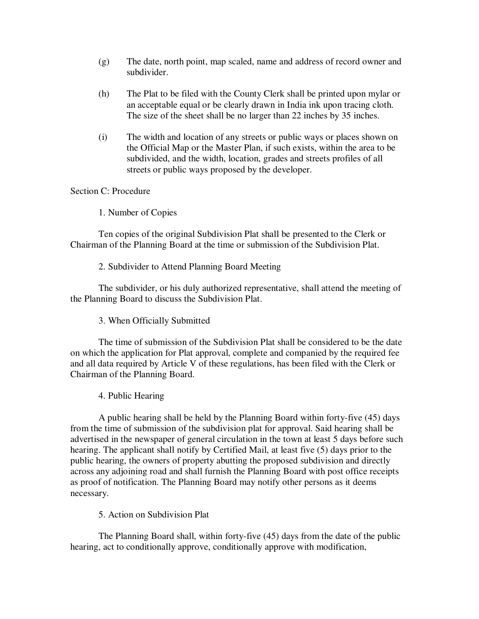- (g) The date, north point, map scaled, name and address of record owner and subdivider.
- (h) The Plat to be filed with the County Clerk shall be printed upon mylar or an acceptable equal or be clearly drawn in India ink upon tracing cloth. The size of the sheet shall be no larger than 22 inches by 35 inches.
- (i) The width and location of any streets or public ways or places shown on the Official Map or the Master Plan, if such exists, within the area to be subdivided, and the width, location, grades and streets profiles of all streets or public ways proposed by the developer.

### Section C: Procedure

1. Number of Copies

 Ten copies of the original Subdivision Plat shall be presented to the Clerk or Chairman of the Planning Board at the time or submission of the Subdivision Plat.

2. Subdivider to Attend Planning Board Meeting

 The subdivider, or his duly authorized representative, shall attend the meeting of the Planning Board to discuss the Subdivision Plat.

3. When Officially Submitted

 The time of submission of the Subdivision Plat shall be considered to be the date on which the application for Plat approval, complete and companied by the required fee and all data required by Article V of these regulations, has been filed with the Clerk or Chairman of the Planning Board.

4. Public Hearing

 A public hearing shall be held by the Planning Board within forty-five (45) days from the time of submission of the subdivision plat for approval. Said hearing shall be advertised in the newspaper of general circulation in the town at least 5 days before such hearing. The applicant shall notify by Certified Mail, at least five (5) days prior to the public hearing, the owners of property abutting the proposed subdivision and directly across any adjoining road and shall furnish the Planning Board with post office receipts as proof of notification. The Planning Board may notify other persons as it deems necessary.

5. Action on Subdivision Plat

 The Planning Board shall, within forty-five (45) days from the date of the public hearing, act to conditionally approve, conditionally approve with modification,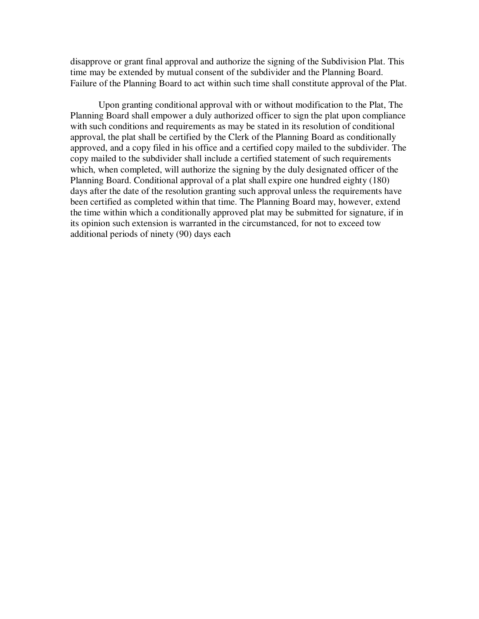disapprove or grant final approval and authorize the signing of the Subdivision Plat. This time may be extended by mutual consent of the subdivider and the Planning Board. Failure of the Planning Board to act within such time shall constitute approval of the Plat.

 Upon granting conditional approval with or without modification to the Plat, The Planning Board shall empower a duly authorized officer to sign the plat upon compliance with such conditions and requirements as may be stated in its resolution of conditional approval, the plat shall be certified by the Clerk of the Planning Board as conditionally approved, and a copy filed in his office and a certified copy mailed to the subdivider. The copy mailed to the subdivider shall include a certified statement of such requirements which, when completed, will authorize the signing by the duly designated officer of the Planning Board. Conditional approval of a plat shall expire one hundred eighty (180) days after the date of the resolution granting such approval unless the requirements have been certified as completed within that time. The Planning Board may, however, extend the time within which a conditionally approved plat may be submitted for signature, if in its opinion such extension is warranted in the circumstanced, for not to exceed tow additional periods of ninety (90) days each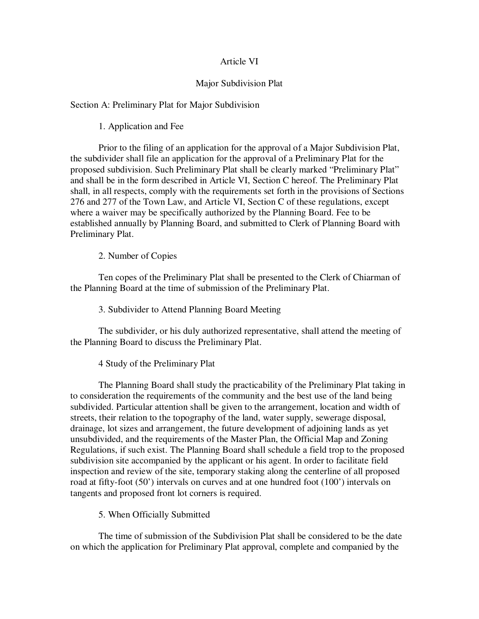#### Article VI

#### Major Subdivision Plat

Section A: Preliminary Plat for Major Subdivision

1. Application and Fee

 Prior to the filing of an application for the approval of a Major Subdivision Plat, the subdivider shall file an application for the approval of a Preliminary Plat for the proposed subdivision. Such Preliminary Plat shall be clearly marked "Preliminary Plat" and shall be in the form described in Article VI, Section C hereof. The Preliminary Plat shall, in all respects, comply with the requirements set forth in the provisions of Sections 276 and 277 of the Town Law, and Article VI, Section C of these regulations, except where a waiver may be specifically authorized by the Planning Board. Fee to be established annually by Planning Board, and submitted to Clerk of Planning Board with Preliminary Plat.

2. Number of Copies

 Ten copes of the Preliminary Plat shall be presented to the Clerk of Chiarman of the Planning Board at the time of submission of the Preliminary Plat.

3. Subdivider to Attend Planning Board Meeting

 The subdivider, or his duly authorized representative, shall attend the meeting of the Planning Board to discuss the Preliminary Plat.

4 Study of the Preliminary Plat

 The Planning Board shall study the practicability of the Preliminary Plat taking in to consideration the requirements of the community and the best use of the land being subdivided. Particular attention shall be given to the arrangement, location and width of streets, their relation to the topography of the land, water supply, sewerage disposal, drainage, lot sizes and arrangement, the future development of adjoining lands as yet unsubdivided, and the requirements of the Master Plan, the Official Map and Zoning Regulations, if such exist. The Planning Board shall schedule a field trop to the proposed subdivision site accompanied by the applicant or his agent. In order to facilitate field inspection and review of the site, temporary staking along the centerline of all proposed road at fifty-foot (50') intervals on curves and at one hundred foot (100') intervals on tangents and proposed front lot corners is required.

5. When Officially Submitted

 The time of submission of the Subdivision Plat shall be considered to be the date on which the application for Preliminary Plat approval, complete and companied by the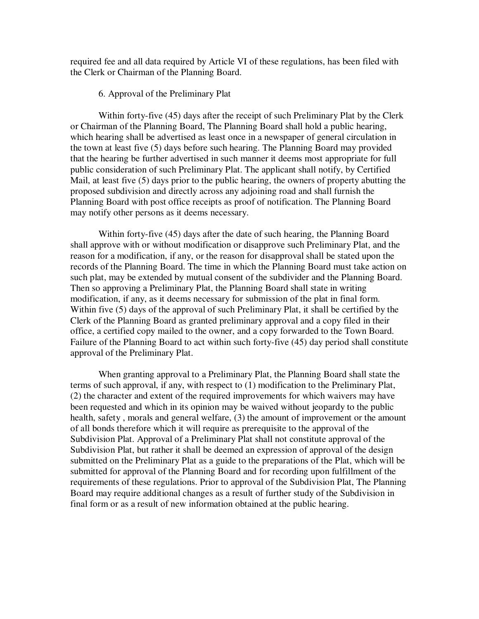required fee and all data required by Article VI of these regulations, has been filed with the Clerk or Chairman of the Planning Board.

#### 6. Approval of the Preliminary Plat

 Within forty-five (45) days after the receipt of such Preliminary Plat by the Clerk or Chairman of the Planning Board, The Planning Board shall hold a public hearing, which hearing shall be advertised as least once in a newspaper of general circulation in the town at least five (5) days before such hearing. The Planning Board may provided that the hearing be further advertised in such manner it deems most appropriate for full public consideration of such Preliminary Plat. The applicant shall notify, by Certified Mail, at least five (5) days prior to the public hearing, the owners of property abutting the proposed subdivision and directly across any adjoining road and shall furnish the Planning Board with post office receipts as proof of notification. The Planning Board may notify other persons as it deems necessary.

 Within forty-five (45) days after the date of such hearing, the Planning Board shall approve with or without modification or disapprove such Preliminary Plat, and the reason for a modification, if any, or the reason for disapproval shall be stated upon the records of the Planning Board. The time in which the Planning Board must take action on such plat, may be extended by mutual consent of the subdivider and the Planning Board. Then so approving a Preliminary Plat, the Planning Board shall state in writing modification, if any, as it deems necessary for submission of the plat in final form. Within five (5) days of the approval of such Preliminary Plat, it shall be certified by the Clerk of the Planning Board as granted preliminary approval and a copy filed in their office, a certified copy mailed to the owner, and a copy forwarded to the Town Board. Failure of the Planning Board to act within such forty-five (45) day period shall constitute approval of the Preliminary Plat.

 When granting approval to a Preliminary Plat, the Planning Board shall state the terms of such approval, if any, with respect to (1) modification to the Preliminary Plat, (2) the character and extent of the required improvements for which waivers may have been requested and which in its opinion may be waived without jeopardy to the public health, safety , morals and general welfare, (3) the amount of improvement or the amount of all bonds therefore which it will require as prerequisite to the approval of the Subdivision Plat. Approval of a Preliminary Plat shall not constitute approval of the Subdivision Plat, but rather it shall be deemed an expression of approval of the design submitted on the Preliminary Plat as a guide to the preparations of the Plat, which will be submitted for approval of the Planning Board and for recording upon fulfillment of the requirements of these regulations. Prior to approval of the Subdivision Plat, The Planning Board may require additional changes as a result of further study of the Subdivision in final form or as a result of new information obtained at the public hearing.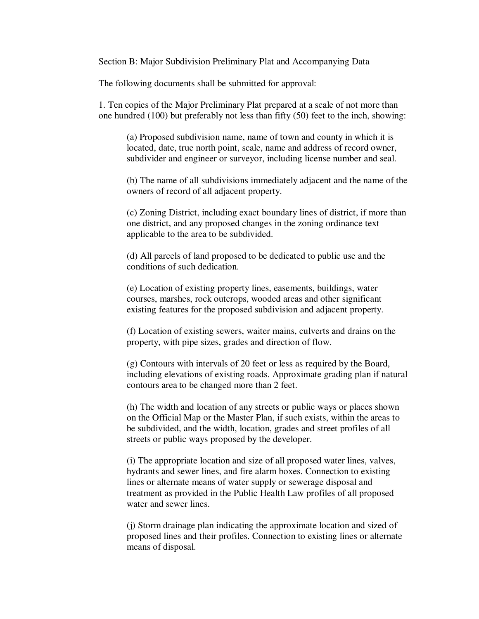Section B: Major Subdivision Preliminary Plat and Accompanying Data

The following documents shall be submitted for approval:

 1. Ten copies of the Major Preliminary Plat prepared at a scale of not more than one hundred (100) but preferably not less than fifty (50) feet to the inch, showing:

 (a) Proposed subdivision name, name of town and county in which it is located, date, true north point, scale, name and address of record owner, subdivider and engineer or surveyor, including license number and seal.

 (b) The name of all subdivisions immediately adjacent and the name of the owners of record of all adjacent property.

 (c) Zoning District, including exact boundary lines of district, if more than one district, and any proposed changes in the zoning ordinance text applicable to the area to be subdivided.

 (d) All parcels of land proposed to be dedicated to public use and the conditions of such dedication.

 (e) Location of existing property lines, easements, buildings, water courses, marshes, rock outcrops, wooded areas and other significant existing features for the proposed subdivision and adjacent property.

 (f) Location of existing sewers, waiter mains, culverts and drains on the property, with pipe sizes, grades and direction of flow.

 (g) Contours with intervals of 20 feet or less as required by the Board, including elevations of existing roads. Approximate grading plan if natural contours area to be changed more than 2 feet.

 (h) The width and location of any streets or public ways or places shown on the Official Map or the Master Plan, if such exists, within the areas to be subdivided, and the width, location, grades and street profiles of all streets or public ways proposed by the developer.

 (i) The appropriate location and size of all proposed water lines, valves, hydrants and sewer lines, and fire alarm boxes. Connection to existing lines or alternate means of water supply or sewerage disposal and treatment as provided in the Public Health Law profiles of all proposed water and sewer lines.

 (j) Storm drainage plan indicating the approximate location and sized of proposed lines and their profiles. Connection to existing lines or alternate means of disposal.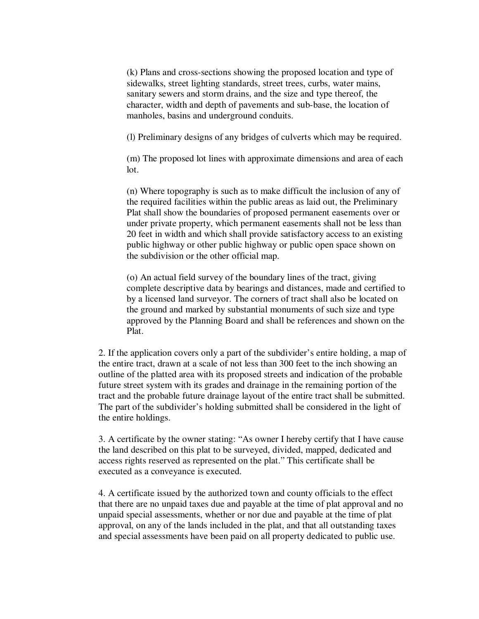(k) Plans and cross-sections showing the proposed location and type of sidewalks, street lighting standards, street trees, curbs, water mains, sanitary sewers and storm drains, and the size and type thereof, the character, width and depth of pavements and sub-base, the location of manholes, basins and underground conduits.

(l) Preliminary designs of any bridges of culverts which may be required.

 (m) The proposed lot lines with approximate dimensions and area of each lot.

 (n) Where topography is such as to make difficult the inclusion of any of the required facilities within the public areas as laid out, the Preliminary Plat shall show the boundaries of proposed permanent easements over or under private property, which permanent easements shall not be less than 20 feet in width and which shall provide satisfactory access to an existing public highway or other public highway or public open space shown on the subdivision or the other official map.

 (o) An actual field survey of the boundary lines of the tract, giving complete descriptive data by bearings and distances, made and certified to by a licensed land surveyor. The corners of tract shall also be located on the ground and marked by substantial monuments of such size and type approved by the Planning Board and shall be references and shown on the Plat.

 2. If the application covers only a part of the subdivider's entire holding, a map of the entire tract, drawn at a scale of not less than 300 feet to the inch showing an outline of the platted area with its proposed streets and indication of the probable future street system with its grades and drainage in the remaining portion of the tract and the probable future drainage layout of the entire tract shall be submitted. The part of the subdivider's holding submitted shall be considered in the light of the entire holdings.

 3. A certificate by the owner stating: "As owner I hereby certify that I have cause the land described on this plat to be surveyed, divided, mapped, dedicated and access rights reserved as represented on the plat." This certificate shall be executed as a conveyance is executed.

 4. A certificate issued by the authorized town and county officials to the effect that there are no unpaid taxes due and payable at the time of plat approval and no unpaid special assessments, whether or nor due and payable at the time of plat approval, on any of the lands included in the plat, and that all outstanding taxes and special assessments have been paid on all property dedicated to public use.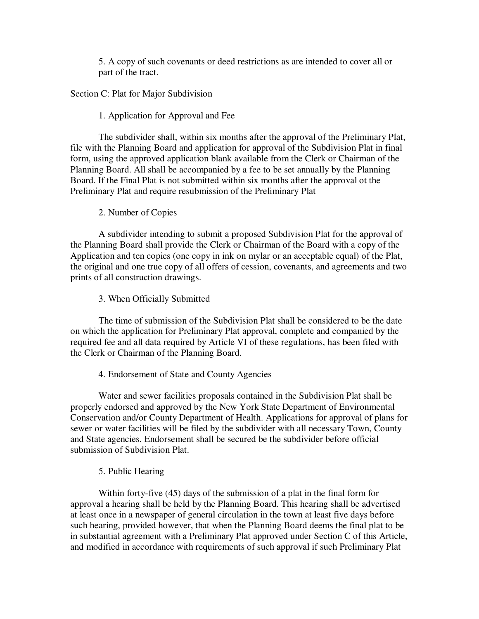5. A copy of such covenants or deed restrictions as are intended to cover all or part of the tract.

Section C: Plat for Major Subdivision

### 1. Application for Approval and Fee

 The subdivider shall, within six months after the approval of the Preliminary Plat, file with the Planning Board and application for approval of the Subdivision Plat in final form, using the approved application blank available from the Clerk or Chairman of the Planning Board. All shall be accompanied by a fee to be set annually by the Planning Board. If the Final Plat is not submitted within six months after the approval ot the Preliminary Plat and require resubmission of the Preliminary Plat

### 2. Number of Copies

 A subdivider intending to submit a proposed Subdivision Plat for the approval of the Planning Board shall provide the Clerk or Chairman of the Board with a copy of the Application and ten copies (one copy in ink on mylar or an acceptable equal) of the Plat, the original and one true copy of all offers of cession, covenants, and agreements and two prints of all construction drawings.

### 3. When Officially Submitted

 The time of submission of the Subdivision Plat shall be considered to be the date on which the application for Preliminary Plat approval, complete and companied by the required fee and all data required by Article VI of these regulations, has been filed with the Clerk or Chairman of the Planning Board.

### 4. Endorsement of State and County Agencies

 Water and sewer facilities proposals contained in the Subdivision Plat shall be properly endorsed and approved by the New York State Department of Environmental Conservation and/or County Department of Health. Applications for approval of plans for sewer or water facilities will be filed by the subdivider with all necessary Town, County and State agencies. Endorsement shall be secured be the subdivider before official submission of Subdivision Plat.

### 5. Public Hearing

 Within forty-five (45) days of the submission of a plat in the final form for approval a hearing shall be held by the Planning Board. This hearing shall be advertised at least once in a newspaper of general circulation in the town at least five days before such hearing, provided however, that when the Planning Board deems the final plat to be in substantial agreement with a Preliminary Plat approved under Section C of this Article, and modified in accordance with requirements of such approval if such Preliminary Plat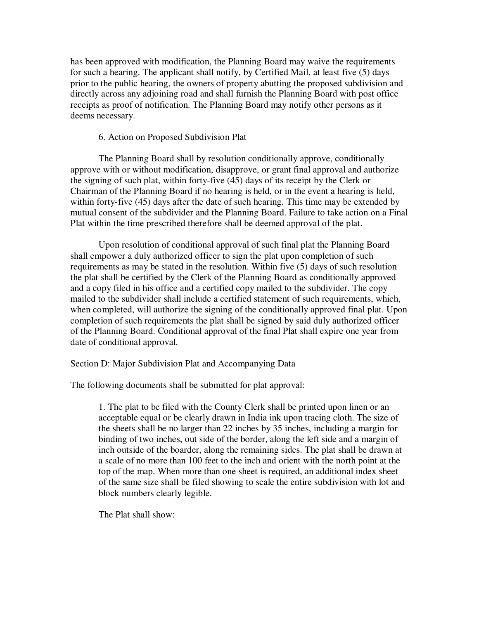has been approved with modification, the Planning Board may waive the requirements for such a hearing. The applicant shall notify, by Certified Mail, at least five (5) days prior to the public hearing, the owners of property abutting the proposed subdivision and directly across any adjoining road and shall furnish the Planning Board with post office receipts as proof of notification. The Planning Board may notify other persons as it deems necessary.

#### 6. Action on Proposed Subdivision Plat

 The Planning Board shall by resolution conditionally approve, conditionally approve with or without modification, disapprove, or grant final approval and authorize the signing of such plat, within forty-five (45) days of its receipt by the Clerk or Chairman of the Planning Board if no hearing is held, or in the event a hearing is held, within forty-five (45) days after the date of such hearing. This time may be extended by mutual consent of the subdivider and the Planning Board. Failure to take action on a Final Plat within the time prescribed therefore shall be deemed approval of the plat.

 Upon resolution of conditional approval of such final plat the Planning Board shall empower a duly authorized officer to sign the plat upon completion of such requirements as may be stated in the resolution. Within five (5) days of such resolution the plat shall be certified by the Clerk of the Planning Board as conditionally approved and a copy filed in his office and a certified copy mailed to the subdivider. The copy mailed to the subdivider shall include a certified statement of such requirements, which, when completed, will authorize the signing of the conditionally approved final plat. Upon completion of such requirements the plat shall be signed by said duly authorized officer of the Planning Board. Conditional approval of the final Plat shall expire one year from date of conditional approval.

Section D: Major Subdivision Plat and Accompanying Data

The following documents shall be submitted for plat approval:

1. The plat to be filed with the County Clerk shall be printed upon linen or an acceptable equal or be clearly drawn in India ink upon tracing cloth. The size of the sheets shall be no larger than 22 inches by 35 inches, including a margin for binding of two inches, out side of the border, along the left side and a margin of inch outside of the boarder, along the remaining sides. The plat shall be drawn at a scale of no more than 100 feet to the inch and orient with the north point at the top of the map. When more than one sheet is required, an additional index sheet of the same size shall be filed showing to scale the entire subdivision with lot and block numbers clearly legible.

The Plat shall show: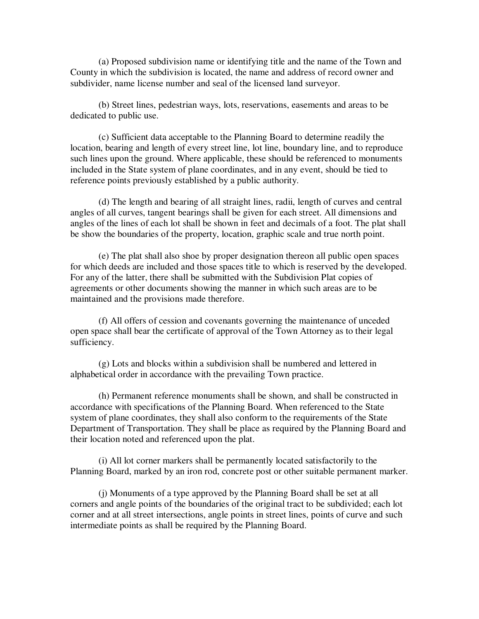(a) Proposed subdivision name or identifying title and the name of the Town and County in which the subdivision is located, the name and address of record owner and subdivider, name license number and seal of the licensed land surveyor.

 (b) Street lines, pedestrian ways, lots, reservations, easements and areas to be dedicated to public use.

 (c) Sufficient data acceptable to the Planning Board to determine readily the location, bearing and length of every street line, lot line, boundary line, and to reproduce such lines upon the ground. Where applicable, these should be referenced to monuments included in the State system of plane coordinates, and in any event, should be tied to reference points previously established by a public authority.

 (d) The length and bearing of all straight lines, radii, length of curves and central angles of all curves, tangent bearings shall be given for each street. All dimensions and angles of the lines of each lot shall be shown in feet and decimals of a foot. The plat shall be show the boundaries of the property, location, graphic scale and true north point.

 (e) The plat shall also shoe by proper designation thereon all public open spaces for which deeds are included and those spaces title to which is reserved by the developed. For any of the latter, there shall be submitted with the Subdivision Plat copies of agreements or other documents showing the manner in which such areas are to be maintained and the provisions made therefore.

 (f) All offers of cession and covenants governing the maintenance of unceded open space shall bear the certificate of approval of the Town Attorney as to their legal sufficiency.

 (g) Lots and blocks within a subdivision shall be numbered and lettered in alphabetical order in accordance with the prevailing Town practice.

 (h) Permanent reference monuments shall be shown, and shall be constructed in accordance with specifications of the Planning Board. When referenced to the State system of plane coordinates, they shall also conform to the requirements of the State Department of Transportation. They shall be place as required by the Planning Board and their location noted and referenced upon the plat.

 (i) All lot corner markers shall be permanently located satisfactorily to the Planning Board, marked by an iron rod, concrete post or other suitable permanent marker.

 (j) Monuments of a type approved by the Planning Board shall be set at all corners and angle points of the boundaries of the original tract to be subdivided; each lot corner and at all street intersections, angle points in street lines, points of curve and such intermediate points as shall be required by the Planning Board.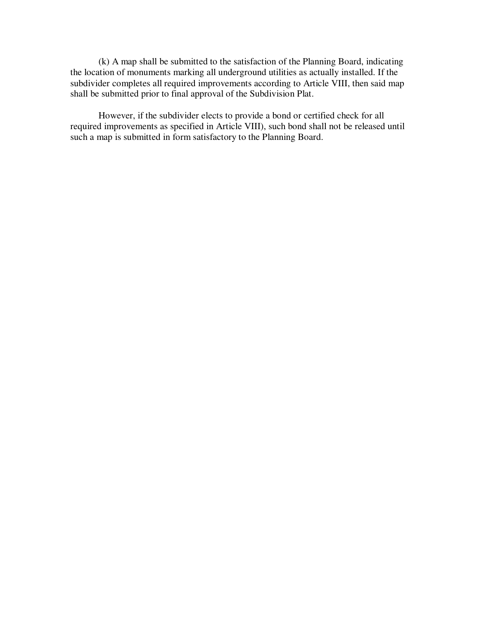(k) A map shall be submitted to the satisfaction of the Planning Board, indicating the location of monuments marking all underground utilities as actually installed. If the subdivider completes all required improvements according to Article VIII, then said map shall be submitted prior to final approval of the Subdivision Plat.

 However, if the subdivider elects to provide a bond or certified check for all required improvements as specified in Article VIII), such bond shall not be released until such a map is submitted in form satisfactory to the Planning Board.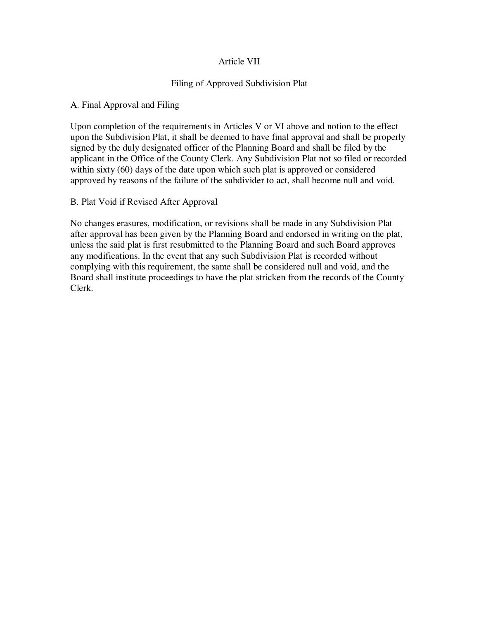## Article VII

## Filing of Approved Subdivision Plat

### A. Final Approval and Filing

Upon completion of the requirements in Articles V or VI above and notion to the effect upon the Subdivision Plat, it shall be deemed to have final approval and shall be properly signed by the duly designated officer of the Planning Board and shall be filed by the applicant in the Office of the County Clerk. Any Subdivision Plat not so filed or recorded within sixty (60) days of the date upon which such plat is approved or considered approved by reasons of the failure of the subdivider to act, shall become null and void.

### B. Plat Void if Revised After Approval

No changes erasures, modification, or revisions shall be made in any Subdivision Plat after approval has been given by the Planning Board and endorsed in writing on the plat, unless the said plat is first resubmitted to the Planning Board and such Board approves any modifications. In the event that any such Subdivision Plat is recorded without complying with this requirement, the same shall be considered null and void, and the Board shall institute proceedings to have the plat stricken from the records of the County Clerk.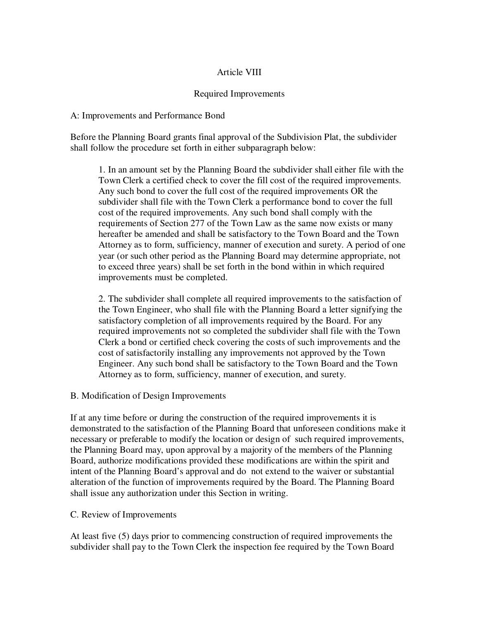## Article VIII

## Required Improvements

#### A: Improvements and Performance Bond

Before the Planning Board grants final approval of the Subdivision Plat, the subdivider shall follow the procedure set forth in either subparagraph below:

1. In an amount set by the Planning Board the subdivider shall either file with the Town Clerk a certified check to cover the fill cost of the required improvements. Any such bond to cover the full cost of the required improvements OR the subdivider shall file with the Town Clerk a performance bond to cover the full cost of the required improvements. Any such bond shall comply with the requirements of Section 277 of the Town Law as the same now exists or many hereafter be amended and shall be satisfactory to the Town Board and the Town Attorney as to form, sufficiency, manner of execution and surety. A period of one year (or such other period as the Planning Board may determine appropriate, not to exceed three years) shall be set forth in the bond within in which required improvements must be completed.

2. The subdivider shall complete all required improvements to the satisfaction of the Town Engineer, who shall file with the Planning Board a letter signifying the satisfactory completion of all improvements required by the Board. For any required improvements not so completed the subdivider shall file with the Town Clerk a bond or certified check covering the costs of such improvements and the cost of satisfactorily installing any improvements not approved by the Town Engineer. Any such bond shall be satisfactory to the Town Board and the Town Attorney as to form, sufficiency, manner of execution, and surety.

### B. Modification of Design Improvements

If at any time before or during the construction of the required improvements it is demonstrated to the satisfaction of the Planning Board that unforeseen conditions make it necessary or preferable to modify the location or design of such required improvements, the Planning Board may, upon approval by a majority of the members of the Planning Board, authorize modifications provided these modifications are within the spirit and intent of the Planning Board's approval and do not extend to the waiver or substantial alteration of the function of improvements required by the Board. The Planning Board shall issue any authorization under this Section in writing.

### C. Review of Improvements

At least five (5) days prior to commencing construction of required improvements the subdivider shall pay to the Town Clerk the inspection fee required by the Town Board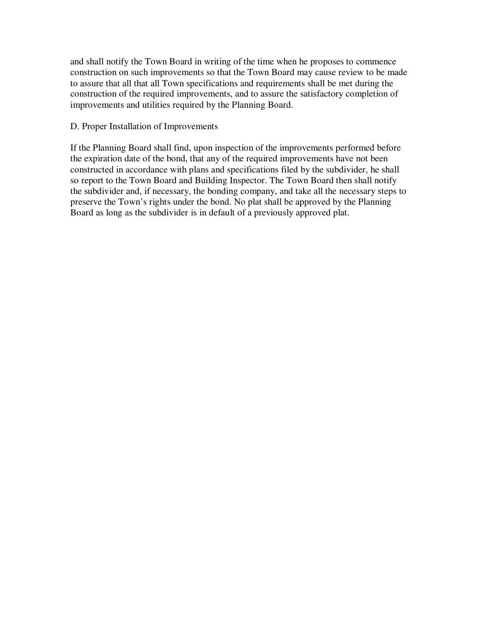and shall notify the Town Board in writing of the time when he proposes to commence construction on such improvements so that the Town Board may cause review to be made to assure that all that all Town specifications and requirements shall be met during the construction of the required improvements, and to assure the satisfactory completion of improvements and utilities required by the Planning Board.

#### D. Proper Installation of Improvements

If the Planning Board shall find, upon inspection of the improvements performed before the expiration date of the bond, that any of the required improvements have not been constructed in accordance with plans and specifications filed by the subdivider, he shall so report to the Town Board and Building Inspector. The Town Board then shall notify the subdivider and, if necessary, the bonding company, and take all the necessary steps to preserve the Town's rights under the bond. No plat shall be approved by the Planning Board as long as the subdivider is in default of a previously approved plat.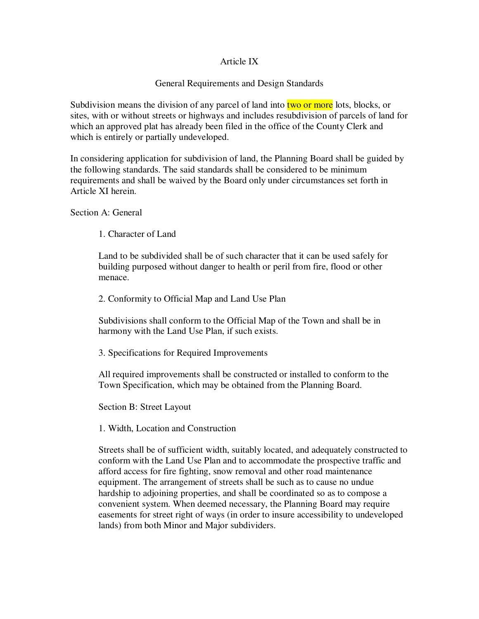### Article IX

### General Requirements and Design Standards

Subdivision means the division of any parcel of land into two or more lots, blocks, or sites, with or without streets or highways and includes resubdivision of parcels of land for which an approved plat has already been filed in the office of the County Clerk and which is entirely or partially undeveloped.

In considering application for subdivision of land, the Planning Board shall be guided by the following standards. The said standards shall be considered to be minimum requirements and shall be waived by the Board only under circumstances set forth in Article XI herein.

Section A: General

1. Character of Land

Land to be subdivided shall be of such character that it can be used safely for building purposed without danger to health or peril from fire, flood or other menace.

2. Conformity to Official Map and Land Use Plan

Subdivisions shall conform to the Official Map of the Town and shall be in harmony with the Land Use Plan, if such exists.

3. Specifications for Required Improvements

All required improvements shall be constructed or installed to conform to the Town Specification, which may be obtained from the Planning Board.

Section B: Street Layout

1. Width, Location and Construction

Streets shall be of sufficient width, suitably located, and adequately constructed to conform with the Land Use Plan and to accommodate the prospective traffic and afford access for fire fighting, snow removal and other road maintenance equipment. The arrangement of streets shall be such as to cause no undue hardship to adjoining properties, and shall be coordinated so as to compose a convenient system. When deemed necessary, the Planning Board may require easements for street right of ways (in order to insure accessibility to undeveloped lands) from both Minor and Major subdividers.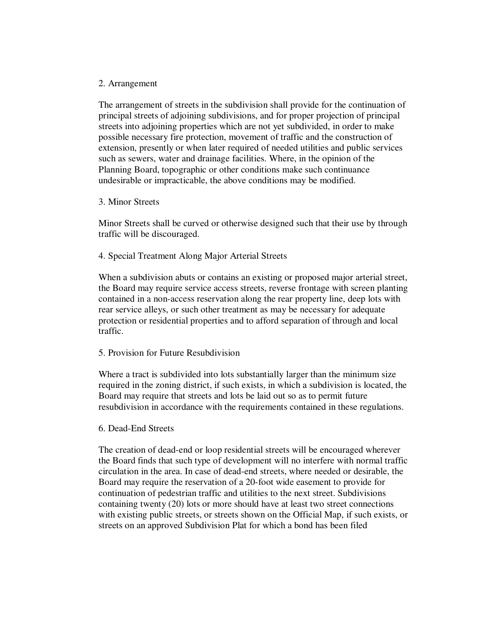#### 2. Arrangement

The arrangement of streets in the subdivision shall provide for the continuation of principal streets of adjoining subdivisions, and for proper projection of principal streets into adjoining properties which are not yet subdivided, in order to make possible necessary fire protection, movement of traffic and the construction of extension, presently or when later required of needed utilities and public services such as sewers, water and drainage facilities. Where, in the opinion of the Planning Board, topographic or other conditions make such continuance undesirable or impracticable, the above conditions may be modified.

#### 3. Minor Streets

Minor Streets shall be curved or otherwise designed such that their use by through traffic will be discouraged.

4. Special Treatment Along Major Arterial Streets

When a subdivision abuts or contains an existing or proposed major arterial street, the Board may require service access streets, reverse frontage with screen planting contained in a non-access reservation along the rear property line, deep lots with rear service alleys, or such other treatment as may be necessary for adequate protection or residential properties and to afford separation of through and local traffic.

### 5. Provision for Future Resubdivision

Where a tract is subdivided into lots substantially larger than the minimum size required in the zoning district, if such exists, in which a subdivision is located, the Board may require that streets and lots be laid out so as to permit future resubdivision in accordance with the requirements contained in these regulations.

#### 6. Dead-End Streets

The creation of dead-end or loop residential streets will be encouraged wherever the Board finds that such type of development will no interfere with normal traffic circulation in the area. In case of dead-end streets, where needed or desirable, the Board may require the reservation of a 20-foot wide easement to provide for continuation of pedestrian traffic and utilities to the next street. Subdivisions containing twenty (20) lots or more should have at least two street connections with existing public streets, or streets shown on the Official Map, if such exists, or streets on an approved Subdivision Plat for which a bond has been filed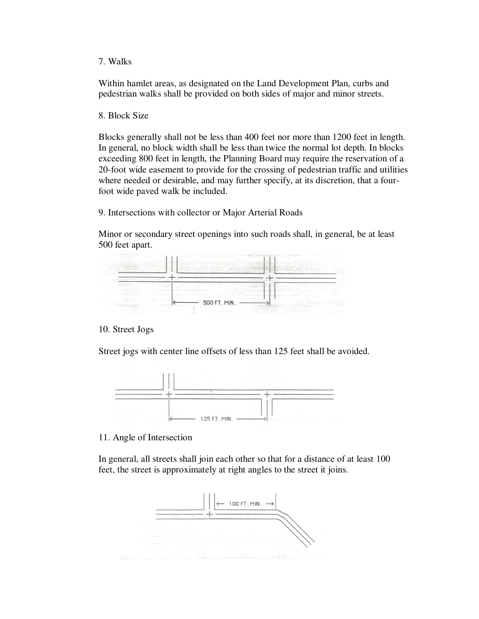7. Walks

Within hamlet areas, as designated on the Land Development Plan, curbs and pedestrian walks shall be provided on both sides of major and minor streets.

8. Block Size

Blocks generally shall not be less than 400 feet nor more than 1200 feet in length. In general, no block width shall be less than twice the normal lot depth. In blocks exceeding 800 feet in length, the Planning Board may require the reservation of a 20-foot wide easement to provide for the crossing of pedestrian traffic and utilities where needed or desirable, and may further specify, at its discretion, that a fourfoot wide paved walk be included.

9. Intersections with collector or Major Arterial Roads

Minor or secondary street openings into such roads shall, in general, be at least 500 feet apart.



### 10. Street Jogs

Street jogs with center line offsets of less than 125 feet shall be avoided.



11. Angle of Intersection

In general, all streets shall join each other so that for a distance of at least 100 feet, the street is approximately at right angles to the street it joins.

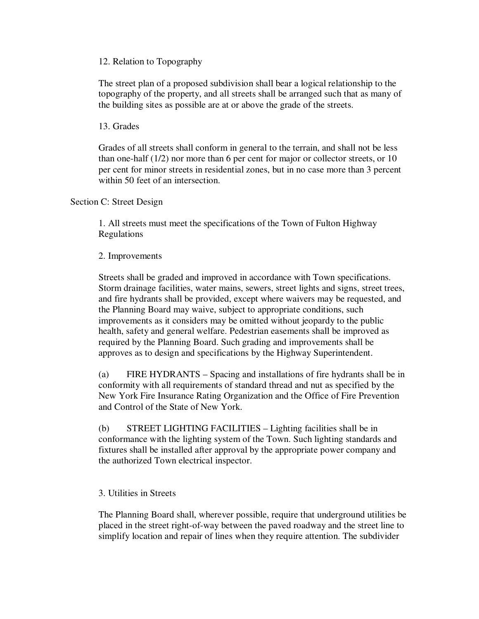12. Relation to Topography

The street plan of a proposed subdivision shall bear a logical relationship to the topography of the property, and all streets shall be arranged such that as many of the building sites as possible are at or above the grade of the streets.

13. Grades

Grades of all streets shall conform in general to the terrain, and shall not be less than one-half (1/2) nor more than 6 per cent for major or collector streets, or 10 per cent for minor streets in residential zones, but in no case more than 3 percent within 50 feet of an intersection.

Section C: Street Design

1. All streets must meet the specifications of the Town of Fulton Highway Regulations

2. Improvements

Streets shall be graded and improved in accordance with Town specifications. Storm drainage facilities, water mains, sewers, street lights and signs, street trees, and fire hydrants shall be provided, except where waivers may be requested, and the Planning Board may waive, subject to appropriate conditions, such improvements as it considers may be omitted without jeopardy to the public health, safety and general welfare. Pedestrian easements shall be improved as required by the Planning Board. Such grading and improvements shall be approves as to design and specifications by the Highway Superintendent.

 (a) FIRE HYDRANTS – Spacing and installations of fire hydrants shall be in conformity with all requirements of standard thread and nut as specified by the New York Fire Insurance Rating Organization and the Office of Fire Prevention and Control of the State of New York.

 (b) STREET LIGHTING FACILITIES – Lighting facilities shall be in conformance with the lighting system of the Town. Such lighting standards and fixtures shall be installed after approval by the appropriate power company and the authorized Town electrical inspector.

## 3. Utilities in Streets

 The Planning Board shall, wherever possible, require that underground utilities be placed in the street right-of-way between the paved roadway and the street line to simplify location and repair of lines when they require attention. The subdivider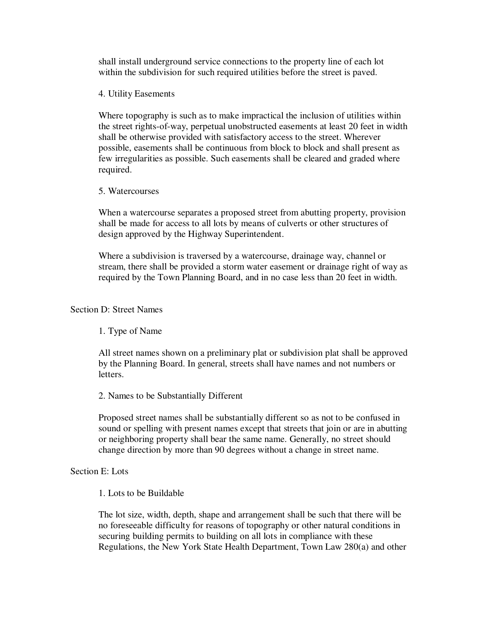shall install underground service connections to the property line of each lot within the subdivision for such required utilities before the street is paved.

4. Utility Easements

 Where topography is such as to make impractical the inclusion of utilities within the street rights-of-way, perpetual unobstructed easements at least 20 feet in width shall be otherwise provided with satisfactory access to the street. Wherever possible, easements shall be continuous from block to block and shall present as few irregularities as possible. Such easements shall be cleared and graded where required.

#### 5. Watercourses

 When a watercourse separates a proposed street from abutting property, provision shall be made for access to all lots by means of culverts or other structures of design approved by the Highway Superintendent.

 Where a subdivision is traversed by a watercourse, drainage way, channel or stream, there shall be provided a storm water easement or drainage right of way as required by the Town Planning Board, and in no case less than 20 feet in width.

## Section D: Street Names

1. Type of Name

 All street names shown on a preliminary plat or subdivision plat shall be approved by the Planning Board. In general, streets shall have names and not numbers or letters.

2. Names to be Substantially Different

 Proposed street names shall be substantially different so as not to be confused in sound or spelling with present names except that streets that join or are in abutting or neighboring property shall bear the same name. Generally, no street should change direction by more than 90 degrees without a change in street name.

#### Section E: Lots

### 1. Lots to be Buildable

 The lot size, width, depth, shape and arrangement shall be such that there will be no foreseeable difficulty for reasons of topography or other natural conditions in securing building permits to building on all lots in compliance with these Regulations, the New York State Health Department, Town Law 280(a) and other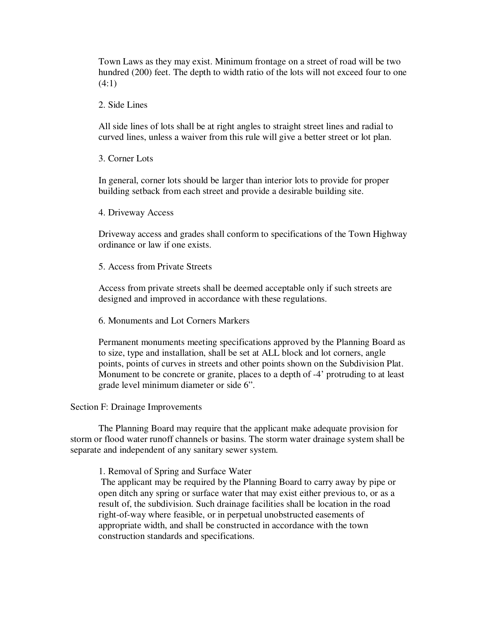Town Laws as they may exist. Minimum frontage on a street of road will be two hundred (200) feet. The depth to width ratio of the lots will not exceed four to one  $(4:1)$ 

2. Side Lines

 All side lines of lots shall be at right angles to straight street lines and radial to curved lines, unless a waiver from this rule will give a better street or lot plan.

3. Corner Lots

 In general, corner lots should be larger than interior lots to provide for proper building setback from each street and provide a desirable building site.

4. Driveway Access

 Driveway access and grades shall conform to specifications of the Town Highway ordinance or law if one exists.

5. Access from Private Streets

 Access from private streets shall be deemed acceptable only if such streets are designed and improved in accordance with these regulations.

6. Monuments and Lot Corners Markers

 Permanent monuments meeting specifications approved by the Planning Board as to size, type and installation, shall be set at ALL block and lot corners, angle points, points of curves in streets and other points shown on the Subdivision Plat. Monument to be concrete or granite, places to a depth of -4' protruding to at least grade level minimum diameter or side 6".

Section F: Drainage Improvements

The Planning Board may require that the applicant make adequate provision for storm or flood water runoff channels or basins. The storm water drainage system shall be separate and independent of any sanitary sewer system.

1. Removal of Spring and Surface Water

 The applicant may be required by the Planning Board to carry away by pipe or open ditch any spring or surface water that may exist either previous to, or as a result of, the subdivision. Such drainage facilities shall be location in the road right-of-way where feasible, or in perpetual unobstructed easements of appropriate width, and shall be constructed in accordance with the town construction standards and specifications.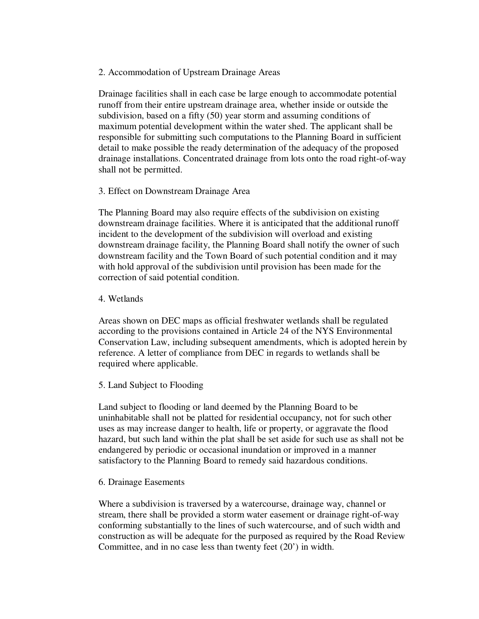#### 2. Accommodation of Upstream Drainage Areas

Drainage facilities shall in each case be large enough to accommodate potential runoff from their entire upstream drainage area, whether inside or outside the subdivision, based on a fifty (50) year storm and assuming conditions of maximum potential development within the water shed. The applicant shall be responsible for submitting such computations to the Planning Board in sufficient detail to make possible the ready determination of the adequacy of the proposed drainage installations. Concentrated drainage from lots onto the road right-of-way shall not be permitted.

### 3. Effect on Downstream Drainage Area

The Planning Board may also require effects of the subdivision on existing downstream drainage facilities. Where it is anticipated that the additional runoff incident to the development of the subdivision will overload and existing downstream drainage facility, the Planning Board shall notify the owner of such downstream facility and the Town Board of such potential condition and it may with hold approval of the subdivision until provision has been made for the correction of said potential condition.

#### 4. Wetlands

Areas shown on DEC maps as official freshwater wetlands shall be regulated according to the provisions contained in Article 24 of the NYS Environmental Conservation Law, including subsequent amendments, which is adopted herein by reference. A letter of compliance from DEC in regards to wetlands shall be required where applicable.

### 5. Land Subject to Flooding

Land subject to flooding or land deemed by the Planning Board to be uninhabitable shall not be platted for residential occupancy, not for such other uses as may increase danger to health, life or property, or aggravate the flood hazard, but such land within the plat shall be set aside for such use as shall not be endangered by periodic or occasional inundation or improved in a manner satisfactory to the Planning Board to remedy said hazardous conditions.

#### 6. Drainage Easements

Where a subdivision is traversed by a watercourse, drainage way, channel or stream, there shall be provided a storm water easement or drainage right-of-way conforming substantially to the lines of such watercourse, and of such width and construction as will be adequate for the purposed as required by the Road Review Committee, and in no case less than twenty feet (20') in width.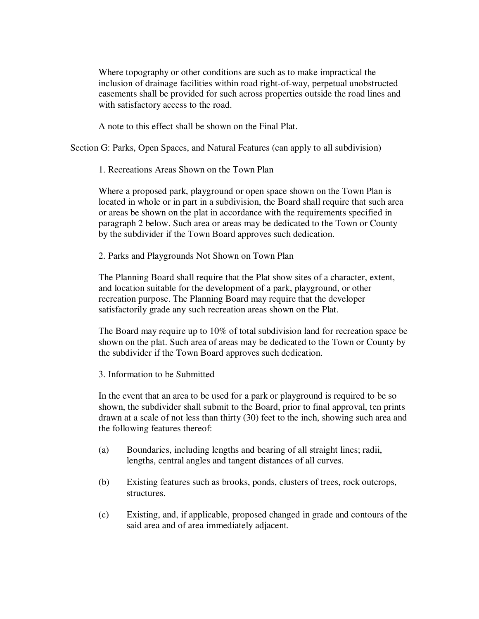Where topography or other conditions are such as to make impractical the inclusion of drainage facilities within road right-of-way, perpetual unobstructed easements shall be provided for such across properties outside the road lines and with satisfactory access to the road.

A note to this effect shall be shown on the Final Plat.

Section G: Parks, Open Spaces, and Natural Features (can apply to all subdivision)

1. Recreations Areas Shown on the Town Plan

 Where a proposed park, playground or open space shown on the Town Plan is located in whole or in part in a subdivision, the Board shall require that such area or areas be shown on the plat in accordance with the requirements specified in paragraph 2 below. Such area or areas may be dedicated to the Town or County by the subdivider if the Town Board approves such dedication.

2. Parks and Playgrounds Not Shown on Town Plan

 The Planning Board shall require that the Plat show sites of a character, extent, and location suitable for the development of a park, playground, or other recreation purpose. The Planning Board may require that the developer satisfactorily grade any such recreation areas shown on the Plat.

 The Board may require up to 10% of total subdivision land for recreation space be shown on the plat. Such area of areas may be dedicated to the Town or County by the subdivider if the Town Board approves such dedication.

3. Information to be Submitted

 In the event that an area to be used for a park or playground is required to be so shown, the subdivider shall submit to the Board, prior to final approval, ten prints drawn at a scale of not less than thirty (30) feet to the inch, showing such area and the following features thereof:

- (a) Boundaries, including lengths and bearing of all straight lines; radii, lengths, central angles and tangent distances of all curves.
- (b) Existing features such as brooks, ponds, clusters of trees, rock outcrops, structures.
- (c) Existing, and, if applicable, proposed changed in grade and contours of the said area and of area immediately adjacent.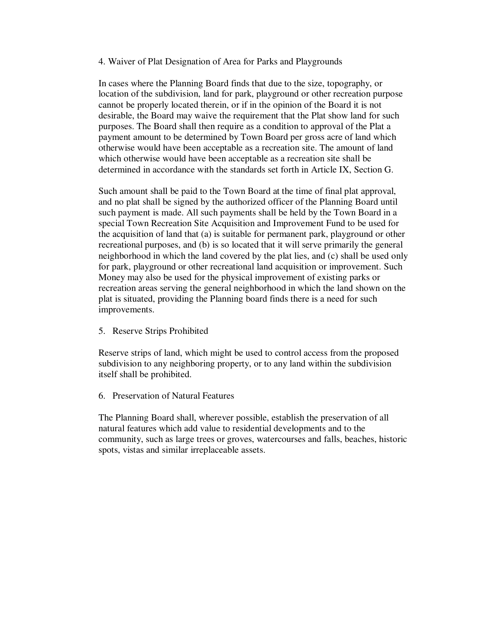#### 4. Waiver of Plat Designation of Area for Parks and Playgrounds

 In cases where the Planning Board finds that due to the size, topography, or location of the subdivision, land for park, playground or other recreation purpose cannot be properly located therein, or if in the opinion of the Board it is not desirable, the Board may waive the requirement that the Plat show land for such purposes. The Board shall then require as a condition to approval of the Plat a payment amount to be determined by Town Board per gross acre of land which otherwise would have been acceptable as a recreation site. The amount of land which otherwise would have been acceptable as a recreation site shall be determined in accordance with the standards set forth in Article IX, Section G.

 Such amount shall be paid to the Town Board at the time of final plat approval, and no plat shall be signed by the authorized officer of the Planning Board until such payment is made. All such payments shall be held by the Town Board in a special Town Recreation Site Acquisition and Improvement Fund to be used for the acquisition of land that (a) is suitable for permanent park, playground or other recreational purposes, and (b) is so located that it will serve primarily the general neighborhood in which the land covered by the plat lies, and (c) shall be used only for park, playground or other recreational land acquisition or improvement. Such Money may also be used for the physical improvement of existing parks or recreation areas serving the general neighborhood in which the land shown on the plat is situated, providing the Planning board finds there is a need for such improvements.

5. Reserve Strips Prohibited

Reserve strips of land, which might be used to control access from the proposed subdivision to any neighboring property, or to any land within the subdivision itself shall be prohibited.

6. Preservation of Natural Features

The Planning Board shall, wherever possible, establish the preservation of all natural features which add value to residential developments and to the community, such as large trees or groves, watercourses and falls, beaches, historic spots, vistas and similar irreplaceable assets.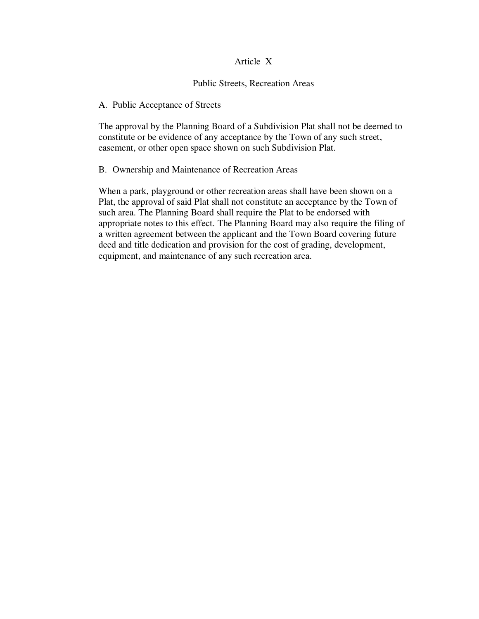#### Article X

#### Public Streets, Recreation Areas

#### A. Public Acceptance of Streets

The approval by the Planning Board of a Subdivision Plat shall not be deemed to constitute or be evidence of any acceptance by the Town of any such street, easement, or other open space shown on such Subdivision Plat.

#### B. Ownership and Maintenance of Recreation Areas

When a park, playground or other recreation areas shall have been shown on a Plat, the approval of said Plat shall not constitute an acceptance by the Town of such area. The Planning Board shall require the Plat to be endorsed with appropriate notes to this effect. The Planning Board may also require the filing of a written agreement between the applicant and the Town Board covering future deed and title dedication and provision for the cost of grading, development, equipment, and maintenance of any such recreation area.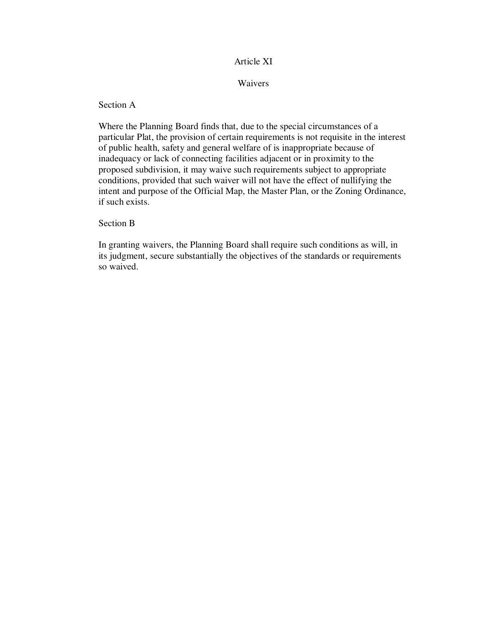### Article XI

Waivers

Section A

Where the Planning Board finds that, due to the special circumstances of a particular Plat, the provision of certain requirements is not requisite in the interest of public health, safety and general welfare of is inappropriate because of inadequacy or lack of connecting facilities adjacent or in proximity to the proposed subdivision, it may waive such requirements subject to appropriate conditions, provided that such waiver will not have the effect of nullifying the intent and purpose of the Official Map, the Master Plan, or the Zoning Ordinance, if such exists.

Section B

In granting waivers, the Planning Board shall require such conditions as will, in its judgment, secure substantially the objectives of the standards or requirements so waived.